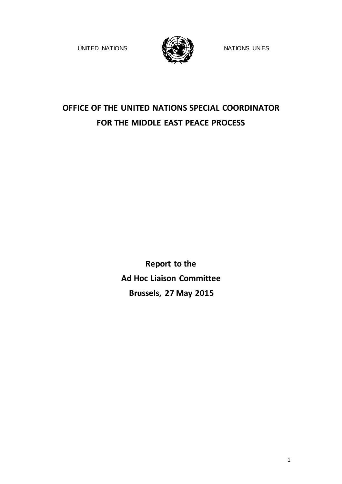UNITED NATIONS WHAT THE NATIONS UNIES



# **OFFICE OF THE UNITED NATIONS SPECIAL COORDINATOR FOR THE MIDDLE EAST PEACE PROCESS**

**Report to the Ad Hoc Liaison Committee Brussels, 27 May 2015**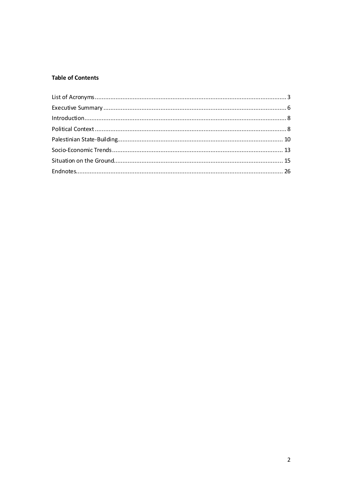# **Table of Contents**

| $\label{eq:interoduction} \text{Introduction}\dots$ |  |
|-----------------------------------------------------|--|
|                                                     |  |
|                                                     |  |
|                                                     |  |
|                                                     |  |
|                                                     |  |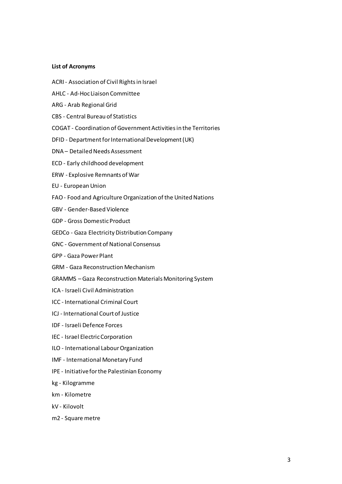## <span id="page-2-0"></span>**List of Acronyms**

- ACRI- Association of Civil Rightsin Israel
- AHLC Ad-Hoc Liaison Committee
- ARG Arab Regional Grid
- CBS Central Bureau of Statistics
- COGAT Coordination of Government Activitiesin the Territories
- DFID Department for International Development (UK)
- DNA Detailed Needs Assessment
- ECD Early childhood development
- ERW Explosive Remnants of War
- EU EuropeanUnion
- FAO Food and Agriculture Organization of the United Nations
- GBV Gender-Based Violence
- GDP Gross DomesticProduct
- GEDCo Gaza Electricity Distribution Company
- GNC Government of National Consensus
- GPP Gaza Power Plant
- GRM Gaza Reconstruction Mechanism
- GRAMMS Gaza Reconstruction Materials Monitoring System
- ICA Israeli Civil Administration
- ICC International Criminal Court
- ICJ International Court of Justice
- IDF Israeli Defence Forces
- IEC Israel ElectricCorporation
- ILO International Labour Organization
- IMF International Monetary Fund
- IPE Initiativeforthe Palestinian Economy
- kg Kilogramme
- km Kilometre
- kV Kilovolt
- m2 Square metre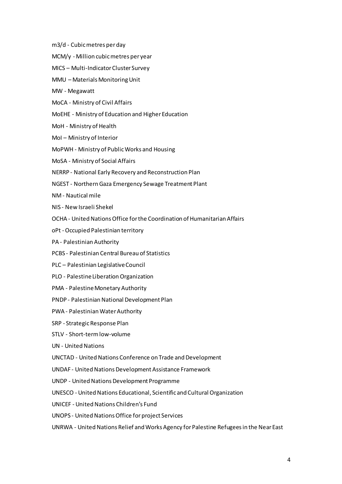- m3/d Cubicmetres perday
- MCM/y Million cubicmetres per year
- MICS Multi-Indicator Cluster Survey
- MMU Materials Monitoring Unit
- MW Megawatt
- MoCA Ministry of Civil Affairs
- MoEHE Ministry of Education and Higher Education
- MoH Ministry of Health
- MoI Ministry of Interior
- MoPWH Ministry of PublicWorks and Housing
- MoSA Ministry of Social Affairs
- NERRP National Early Recovery and Reconstruction Plan
- NGEST NorthernGaza Emergency Sewage Treatment Plant
- NM Nautical mile
- NIS New Israeli Shekel
- OCHA United Nations Office for the Coordination of Humanitarian Affairs
- oPt Occupied Palestinian territory
- PA Palestinian Authority
- PCBS Palestinian Central Bureau of Statistics
- PLC Palestinian Legislative Council
- PLO Palestine Liberation Organization
- PMA Palestine Monetary Authority
- PNDP Palestinian National Development Plan
- PWA Palestinian WaterAuthority
- SRP Strategic Response Plan
- STLV Short-termlow-volume
- UN United Nations
- UNCTAD United Nations Conference on Trade and Development
- UNDAF United Nations Development Assistance Framework
- UNDP United Nations Development Programme
- UNESCO United Nations Educational, Scientific and Cultural Organization
- UNICEF United Nations Children's Fund
- UNOPS United Nations Office for project Services
- UNRWA United Nations Relief and Works Agency for Palestine Refugees in the Near East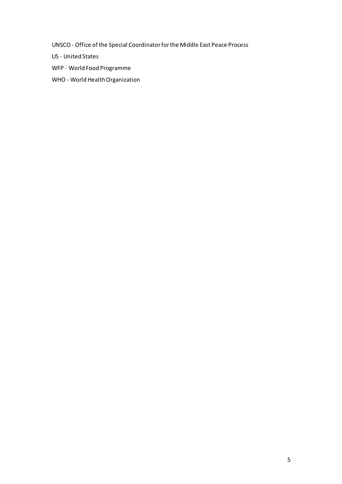UNSCO- Office ofthe Special Coordinatorforthe Middle East Peace Process

US - United States

WFP - World Food Programme

WHO - World Health Organization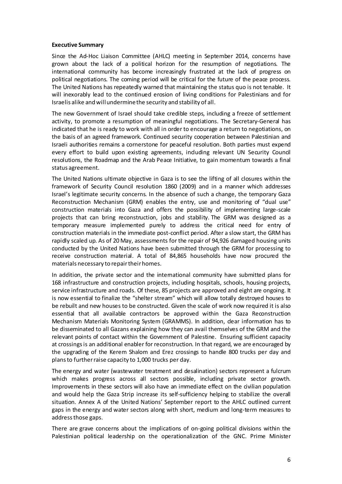#### <span id="page-5-0"></span>**Executive Summary**

Since the Ad-Hoc Liaison Committee (AHLC) meeting in September 2014, concerns have grown about the lack of a political horizon for the resumption of negotiations. The international community has become increasingly frustrated at the lack of progress on political negotiations. The coming period will be critical for the future of the peace process. The United Nations has repeatedly warned that maintaining the status quo is not tenable. It will inexorably lead to the continued erosion of living conditions for Palestinians and for Israelis alike and willunderminethe security and stability of all.

The new Government of Israel should take credible steps, including a freeze of settlement activity, to promote a resumption of meaningful negotiations. The Secretary-General has indicated that he is ready to work with all in order to encourage a return to negotiations, on the basis of an agreed framework. Continued security cooperation between Palestinian and Israeli authorities remains a cornerstone for peaceful resolution. Both parties must expend every effort to build upon existing agreements, induding relevant UN Security Council resolutions, the Roadmap and the Arab Peace Initiative, to gain momentum towards a final status agreement.

The United Nations ultimate objective in Gaza is to see the lifting of all closures within the framework of Security Council resolution 1860 (2009) and in a manner which addresses Israel's legitimate security concerns. In the absence of such a change, the temporary Gaza Reconstruction Mechanism (GRM) enables the entry, use and monitoring of "dual use" construction materials into Gaza and offers the possibility of implementing large-scale projects that can bring reconstruction, jobs and stability. The GRM was designed as a temporary measure implemented purely to address the critical need for entry of construction materials in the immediate post-conflict period. After a slow start, the GRM has rapidly scaled up. As of 20 May, assessments for the repair of 94,926 damaged housing units conducted by the United Nations have been submitted through the GRM for processing to receive construction material. A total of 84,865 households have now procured the materials necessary to repair their homes.

In addition, the private sector and the international community have submitted plans for 168 infrastructure and construction projects, including hospitals, schools, housing projects, service infrastructure and roads. Of these, 85 projects are approved and eight are ongoing. It is now essential to finalize the "shelter stream" which will allow totally destroyed houses to be rebuilt and new houses to be constructed. Given the scale of work now required it is also essential that all available contractors be approved within the Gaza Reconstruction Mechanism Materials Monitoring System (GRAMMS). In addition, dear information has to be disseminated to all Gazans explaining how they can avail themselves of the GRM and the relevant points of contact within the Government of Palestine. Ensuring sufficient capacity at crossingsis an additional enabler for reconstruction. In that regard, we are encouraged by the upgrading of the Kerem Shalom and Erez crossings to handle 800 trucks per day and plansto furtherraise capacity to 1,000 trucks per day.

The energy and water (wastewater treatment and desalination) sectors represent a fulcrum which makes progress across all sectors possible, including private sector growth. Improvements in these sectors will also have an immediate effect on the civilian population and would help the Gaza Strip increase its self-sufficiency helping to stabilize the overall situation. Annex A of the United Nations' September report to the AHLC outlined current gaps in the energy and water sectors along with short, medium and long-term measures to addressthose gaps.

There are grave concerns about the implications of on-going political divisions within the Palestinian political leadership on the operationalization of the GNC. Prime Minister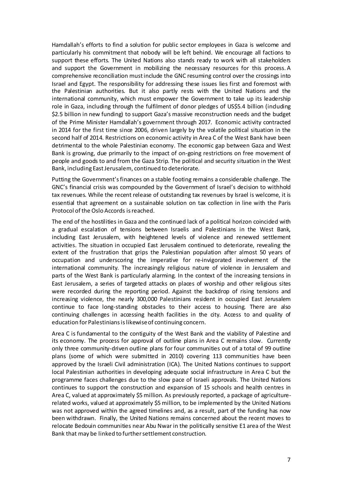Hamdallah's efforts to find a solution for public sector employees in Gaza is welcome and particularly his commitment that nobody will be left behind. We encourage all factions to support these efforts. The United Nations also stands ready to work with all stakeholders and support the Government in mobilizing the necessary resources for this process. A comprehensive reconciliation mustinclude the GNC resuming control over the crossings into Israel and Egypt. The responsibility for addressing these issues lies first and foremost with the Palestinian authorities. But it also partly rests with the United Nations and the international community, which must empower the Government to take up its leadership role in Gaza, including through the fulfilment of donor pledges of US\$5.4 billion (including \$2.5 billion in new funding) to support Gaza's massive reconstruction needs and the budget of the Prime Minister Hamdallah's government through 2017. Economic activity contracted in 2014 for the first time since 2006, driven largely by the volatile political situation in the second half of 2014. Restrictions on economic activity in Area C of the West Bank have been detrimental to the whole Palestinian economy. The economic gap between Gaza and West Bank is growing, due primarily to the impact of on-going restrictions on free movement of people and goods to and from the Gaza Strip. The political and security situation in the West Bank, including EastJerusalem, continued to deteriorate.

Putting the Government'sfinances on a stable footing remains a considerable challenge. The GNC's financial crisis was compounded by the Government of Israel's decision to withhold tax revenues. While the recent release of outstanding tax revenues by Israel is welcome, it is essential that agreement on a sustainable solution on tax collection in line with the Paris Protocol of the Oslo Accords is reached.

The end of the hostilities in Gaza and the continued lack of a political horizon coincided with a gradual escalation of tensions between Israelis and Palestinians in the West Bank, including East Jerusalem, with heightened levels of violence and renewed settlement activities. The situation in occupied East Jerusalem continued to deteriorate, revealing the extent of the frustration that grips the Palestinian population after almost 50 years of occupation and underscoring the imperative for re-invigorated involvement of the international community. The increasingly religious nature of violence in Jerusalem and parts of the West Bank is particularly alarming. In the context of the increasing tensions in East Jerusalem, a series of targeted attacks on places of worship and other religious sites were recorded during the reporting period. Against the backdrop of rising tensions and increasing violence, the nearly 300,000 Palestinians resident in occupied East Jerusalem continue to face long-standing obstacles to their access to housing. There are also continuing challenges in accessing health facilities in the city. Access to and quality of education for Palestinians is likewise of continuing concern.

Area C is fundamental to the contiguity of the West Bank and the viability of Palestine and its economy. The process for approval of outline plans in Area C remains slow. Currently only three community-driven outline plans for four communities out of a total of 99 outline plans (some of which were submitted in 2010) covering 113 communities have been approved by the Israeli Civil administration (ICA). The United Nations continues to support local Palestinian authorities in developing adequate social infrastructure in Area C but the programme faces challenges due to the slow pace of Israeli approvals. The United Nations continues to support the construction and expansion of 15 schools and health centres in Area C, valued at approximately \$5 million. As previously reported, a package of agriculturerelated works, valued at approximately \$5million, to be implemented by the United Nations was not approved within the agreed timelines and, as a result, part of the funding has now been withdrawn. Finally, the United Nations remains concerned about the recent moves to relocate Bedouin communities near Abu Nwar in the politically sensitive E1 area of the West Bank that may be linked to furthersettlement construction.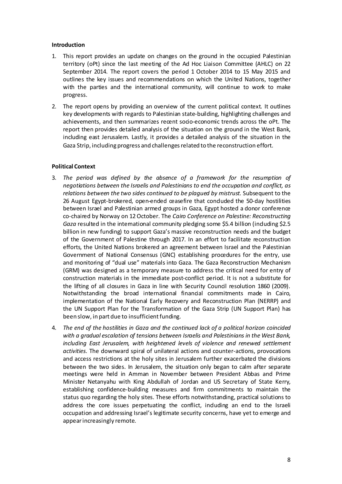## <span id="page-7-0"></span>**Introduction**

- 1. This report provides an update on changes on the ground in the occupied Palestinian territory (oPt) since the last meeting of the Ad Hoc Liaison Committee (AHLC) on 22 September 2014. The report covers the period 1 October 2014 to 15 May 2015 and outlines the key issues and recommendations on which the United Nations, together with the parties and the international community, will continue to work to make progress.
- 2. The report opens by providing an overview of the current political context. It outlines key developments with regards to Palestinian state-building, highlighting challenges and achievements, and then summarizes recent socio-economic trends across the oPt. The report then provides detailed analysis of the situation on the ground in the West Bank, including east Jerusalem. Lastly, it provides a detailed analysis of the situation in the Gaza Strip, including progress and challengesrelated to the reconstruction effort.

# <span id="page-7-1"></span>**Political Context**

- 3. *The period was defined by the absence of a framework for the resumption of negotiations between the Israelis and Palestinians to end the occupation and conflict, as relations between the two sides continued to be plagued by mistrust.* Subsequent to the 26 August Egypt-brokered, open-ended ceasefire that conduded the 50-day hostilities between Israel and Palestinian armed groups in Gaza, Egypt hosted a donor conference co-chaired by Norway on 12October. The *Cairo Conference on Palestine: Reconstructing Gaza* resulted in the international community pledging some \$5.4 billion (including \$2.5 billion in new funding) to support Gaza's massive reconstruction needs and the budget of the Government of Palestine through 2017. In an effort to facilitate reconstruction efforts, the United Nations brokered an agreement between Israel and the Palestinian Government of National Consensus (GNC) establishing procedures for the entry, use and monitoring of "dual use" materials into Gaza. The Gaza Reconstruction Mechanism (GRM) was designed as a temporary measure to address the critical need for entry of construction materials in the immediate post-conflict period. It is not a substitute for the lifting of all closures in Gaza in line with Security Council resolution 1860 (2009). Notwithstanding the broad international financial commitments made in Cairo, implementation of the National Early Recovery and Reconstruction Plan (NERRP) and the UN Support Plan for the Transformation of the Gaza Strip (UN Support Plan) has been slow, in part due to insufficient funding.
- 4. *The end of the hostilities in Gaza and the continued lack of a political horizon coincided with a gradual escalation of tensions between Israelis and Palestinians in the West Bank, including East Jerusalem, with heightened levels of violence and renewed settlement activities.* The downward spiral of unilateral actions and counter-actions, provocations and access restrictions at the holy sites in Jerusalem further exacerbated the divisions between the two sides. In Jerusalem, the situation only began to calm after separate meetings were held in Amman in November between President Abbas and Prime Minister Netanyahu with King Abdullah of Jordan and US Secretary of State Kerry, establishing confidence-building measures and firm commitments to maintain the status quo regarding the holy sites. These efforts notwithstanding, practical solutions to address the core issues perpetuating the conflict, induding an end to the Israeli occupation and addressing Israel's legitimate security concerns, have yet to emerge and appearincreasingly remote.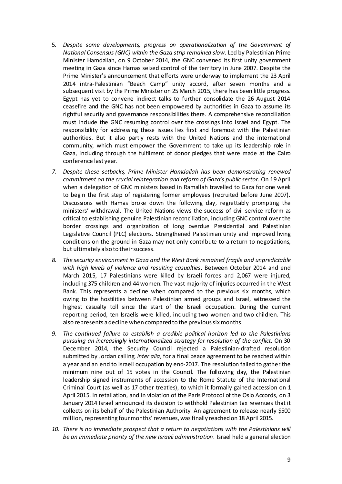- 5. *Despite some developments, progress on operationalization of the Government of National Consensus (GNC) within the Gaza strip remained slow*. Led by Palestinian Prime Minister Hamdallah, on 9 October 2014, the GNC convened its first unity government meeting in Gaza since Hamas seized control of the territory in June 2007. Despite the Prime Minister's announcement that efforts were underway to implement the 23 April 2014 intra-Palestinian "Beach Camp" unity accord, after seven months and a subsequent visit by the Prime Minister on 25 March 2015, there has been little progress. Egypt has yet to convene indirect talks to further consolidate the 26 August 2014 ceasefire and the GNC has not been empowered by authorities in Gaza to assume its rightful security and governance responsibilities there. A comprehensive reconciliation must indude the GNC resuming control over the crossings into Israel and Egypt. The responsibility for addressing these issues lies first and foremost with the Palestinian authorities. But it also partly rests with the United Nations and the international community, which must empower the Government to take up its leadership role in Gaza, including through the fulfilment of donor pledges that were made at the Cairo conference last year.
- *7. Despite these setbacks, Prime Minister Hamdallah has been demonstrating renewed commitment on the crucial reintegration and reform of Gaza's public sector.* On 19 April when a delegation of GNC ministers based in Ramallah travelled to Gaza for one week to begin the first step of registering former employees (recruited before June 2007). Discussions with Hamas broke down the following day, regrettably prompting the ministers' withdrawal. The United Nations views the success of civil service reform as critical to establishing genuine Palestinian reconciliation, including GNC control over the border crossings and organization of long overdue Presidential and Palestinian Legislative Council (PLC) elections. Strengthened Palestinian unity and improved living conditions on the ground in Gaza may not only contribute to a return to negotiations, but ultimately also to their success.
- *8. The security environment in Gaza and the West Bank remained fragile and unpredictable with high levels of violence and resulting casualties*. Between October 2014 and end March 2015, 17 Palestinians were killed by Israeli forces and 2,067 were injured, including 375 children and 44 women. The vast majority of injuries occurred in the West Bank. This represents a decline when compared to the previous six months, which owing to the hostilities between Palestinian armed groups and Israel, witnessed the highest casualty toll since the start of the Israeli occupation. During the current reporting period, ten Israelis were killed, induding two women and two children. This also represents a decline when compared to the previous six months.
- *9. The continued failure to establish a credible political horizon led to the Palestinians pursuing an increasingly internationalized strategy for resolution of the conflict.* On 30 December 2014, the Security Council rejected a Palestinian-drafted resolution submitted by Jordan calling, *inter alia*, for a final peace agreement to be reached within a year and an end to Israeli occupation by end-2017. The resolution failed to gather the minimum nine out of 15 votes in the Council. The following day, the Palestinian leadership signed instruments of accession to the Rome Statute of the International Criminal Court (as well as 17 other treaties), to which it formally gained accession on 1 April 2015. In retaliation, and in violation of the Paris Protocol of the Oslo Accords, on 3 January 2014 Israel announced its decision to withhold Palestinian tax revenues that it collects on its behalf of the Palestinian Authority. An agreement to release nearly \$500 million, representing four months' revenues, was finally reached on 18 April 2015.
- *10. There is no immediate prospect that a return to negotiations with the Palestinians will be an immediate priority of the new Israeli administration*. Israel held a general election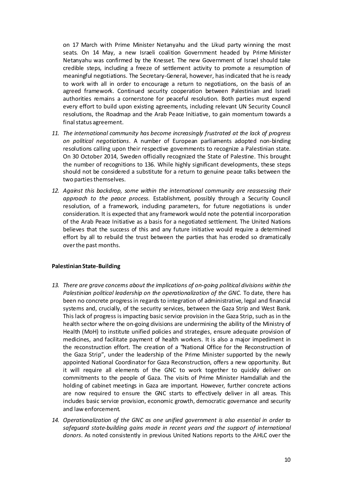on 17 March with Prime Minister Netanyahu and the Likud party winning the most seats. On 14 May, a new Israeli coalition Government headed by Prime Minister Netanyahu was confirmed by the Knesset. The new Government of Israel should take credible steps, including a freeze of settlement activity to promote a resumption of meaningful negotiations. The Secretary-General, however, hasindicated that he is ready to work with all in order to encourage a return to negotiations, on the basis of an agreed framework. Continued security cooperation between Palestinian and Israeli authorities remains a cornerstone for peaceful resolution. Both parties must expend every effort to build upon existing agreements, including relevant UN Security Council resolutions, the Roadmap and the Arab Peace Initiative, to gain momentum towards a final status agreement.

- *11. The international community has become increasingly frustrated at the lack of progress on political negotiations*. A number of European parliaments adopted non-binding resolutions calling upon their respective governments to recognize a Palestinian state. On 30 October 2014, Sweden officially recognized the State of Palestine. This brought the number of recognitions to 136. While highly significant developments, these steps should not be considered a substitute for a return to genuine peace talks between the two parties themselves.
- *12. Against this backdrop, some within the international community are reassessing their approach to the peace process.* Establishment, possibly through a Security Council resolution, of a framework, induding parameters, for future negotiations is under consideration. It is expected that any framework would note the potential incorporation of the Arab Peace Initiative as a basis for a negotiated settlement. The United Nations believes that the success of this and any future initiative would require a determined effort by all to rebuild the trust between the parties that has eroded so dramatically overthe past months.

## <span id="page-9-0"></span>**Palestinian State-Building**

- *13. There are grave concerns about the implications of on-going political divisions within the Palestinian political leadership on the operationalization of the GNC.* To date, there has been no concrete progressin regards to integration of administrative, legal and financial systems and, crucially, of the security services, between the Gaza Strip and West Bank. This lack of progress is impacting basic service provision in the Gaza Strip, such as in the health sector where the on-going divisions are undermining the ability of the Ministry of Health (MoH) to institute unified policies and strategies, ensure adequate provision of medicines, and facilitate payment of health workers. It is also a major impediment in the reconstruction effort. The creation of a "National Office for the Reconstruction of the Gaza Strip", under the leadership of the Prime Minister supported by the newly appointed National Coordinator for Gaza Reconstruction, offers a new opportunity. But it will require all elements of the GNC to work together to quickly deliver on commitments to the people of Gaza. The visits of Prime Minister Hamdallah and the holding of cabinet meetings in Gaza are important. However, further concrete actions are now required to ensure the GNC starts to effectively deliver in all areas. This includes basic service provision, economic growth, democratic governance and security and law enforcement*.*
- *14. Operationalization of the GNC as one unified government is also essential in order to safeguard state-building gains made in recent years and the support of international donors*. As noted consistently in previous United Nations reports to the AHLC over the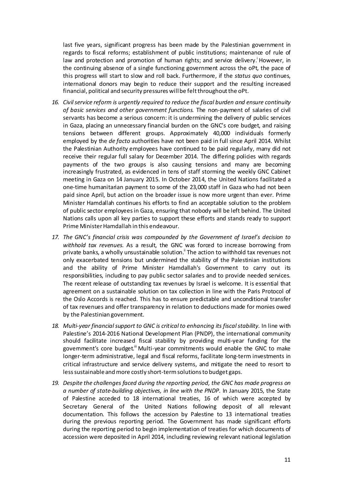last five years, significant progress has been made by the Palestinian government in regards to fiscal reforms; establishment of public institutions; maintenance of rule of law and protection and promotion of human rights; and service delivery. However, in the continuing absence of a single functioning government across the oPt, the pace of this progress will start to slow and roll back. Furthermore, if the *status quo* continues, international donors may begin to reduce their support and the resulting increased financial, political and security pressures will be felt throughout the oPt.

- *16. Civilservice reform is urgently required to reduce the fiscal burden and ensure continuity of basic services and other government functions.* The non-payment of salaries of civil servants has become a serious concern: it is undermining the delivery of public services in Gaza, placing an unnecessary financial burden on the GNC's core budget, and raising tensions between different groups. Approximately 40,000 individuals formerly employed by the *de facto* authorities have not been paid in full since April 2014. Whilst the Palestinian Authority employees have continued to be paid regularly, many did not receive their regular full salary for December 2014. The differing policies with regards payments of the two groups is also causing tensions and many are becoming increasingly frustrated, as evidenced in tens of staff storming the weekly GNC Cabinet meeting in Gaza on 14 January 2015. In October 2014, the United Nations facilitated a one-time humanitarian payment to some of the 23,000 staff in Gaza who had not been paid since April, but action on the broader issue is now more urgent than ever. Prime Minister Hamdallah continues his efforts to find an acceptable solution to the problem of public sector employeesin Gaza, ensuring that nobody will be left behind. The United Nations calls upon all key parties to support these efforts and stands ready to support Prime Minister Hamdallah in this endeavour.
- *17. The GNC's financial crisis was compounded by the Government of Israel's decision to withhold tax revenues*. As a result, the GNC was forced to increase borrowing from private banks, a wholly unsustainable solution.<sup>"</sup> The action to withhold tax revenues not only exacerbated tensions but undermined the stability of the Palestinian institutions and the ability of Prime Minister Hamdallah's Government to carry out its responsibilities, including to pay public sector salaries and to provide needed services. The recent release of outstanding tax revenues by Israel is welcome. It is essential that agreement on a sustainable solution on tax collection in line with the Paris Protocol of the Oslo Accords is reached. This has to ensure predictable and unconditional transfer of tax revenues and offer transparency in relation to deductions made for monies owed by the Palestinian government.
- *18. Multi-year financialsupport to GNC is critical to enhancing its fiscalstability.* In line with Palestine's 2014-2016 National Development Plan (PNDP), the international community should facilitate increased fiscal stability by providing multi-year funding for the govemment's core budget." Multi-year commitments would enable the GNC to make longer-term administrative, legal and fiscal reforms, facilitate long-term investments in critical infrastructure and service delivery systems, and mitigate the need to resort to less sustainable and more costly short-term solutions to budget gaps.
- *19. Despite the challenges faced during the reporting period, the GNC has made progress on a number of state-building objectives, in line with the PNDP.* In January 2015, the State of Palestine acceded to 18 international treaties, 16 of which were accepted by Secretary General of the United Nations following deposit of all relevant documentation. This follows the accession by Palestine to 13 international treaties during the previous reporting period*.* The Government has made significant efforts during the reporting period to begin implementation of treaties for which documents of accession were deposited in April 2014, including reviewing relevant national legislation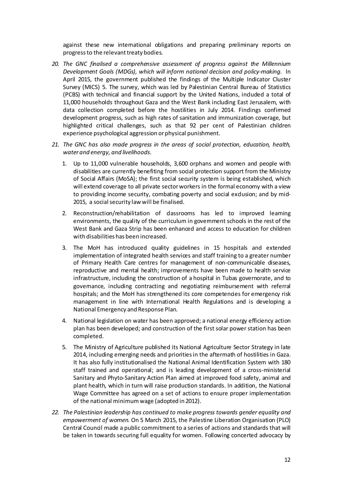against these new intemational obligations and preparing preliminary reports on progress to the relevant treaty bodies.

- *20. The GNC finalised a comprehensive assessment of progress against the Millennium Development Goals (MDGs), which will inform national decision and policy-making.* In April 2015, the government published the findings of the Multiple Indicator Cluster Survey (MICS) 5. The survey, which was led by Palestinian Central Bureau of Statistics (PCBS) with technical and financial support by the United Nations, included a total of 11,000 households throughout Gaza and the West Bank including East Jerusalem, with data collection completed before the hostilities in July 2014. Findings confirmed development progress, such as high rates of sanitation and immunization coverage, but highlighted critical challenges, such as that 92 per cent of Palestinian children experience psychological aggression or physical punishment.
- *21. The GNC has also made progress in the areas of social protection, education, health, water and energy, and livelihoods.*
	- 1. Up to 11,000 vulnerable households, 3,600 orphans and women and people with disabilities are currently benefiting from social protection support from the Ministry of Social Affairs (MoSA); the first social security system is being established, which will extend coverage to all private sectorworkers in the formal economy with a view to providing income security, combating poverty and social exclusion; and by mid-2015, a social security law will be finalised.
	- 2. Reconstruction/rehabilitation of dassrooms has led to improved learning environments, the quality of the curriculum in government schools in the rest of the West Bank and Gaza Strip has been enhanced and access to education for children with disabilities has been increased.
	- 3. The MoH has introduced quality guidelines in 15 hospitals and extended implementation of integrated health services and staff training to a greater number of Primary Health Care centres for management of non-communicable diseases, reproductive and mental health; improvements have been made to health service infrastructure, including the construction of a hospital in Tubas governorate, and to governance, including contracting and negotiating reimbursement with referral hospitals; and the MoH has strengthened its core competencies for emergency risk management in line with International Health Regulations and is developing a National Emergency and Response Plan.
	- 4. National legislation on water has been approved; a national energy efficiency action plan has been developed; and construction of the first solar powerstation has been completed.
	- 5. The Ministry of Agriculture published its National Agriculture Sector Strategy in late 2014, including emerging needs and prioritiesin the aftermath of hostilities in Gaza. It has also fully institutionalised the National Animal Identification System with 180 staff trained and operational; and is leading development of a cross-ministerial Sanitary and Phyto-Sanitary Action Plan aimed at improved food safety, animal and plant health, which in turn will raise production standards. In addition, the National Wage Committee has agreed on a set of actions to ensure proper implementation of the national minimumwage (adopted in 2012).
- *22. The Palestinian leadership has continued to make progress towards gender equality and empowerment of women.* On 5 March 2015, the Palestine Liberation Organisation (PLO) Central Council made a public commitment to a series of actions and standards that will be taken in towards securing full equality for women. Following concerted advocacy by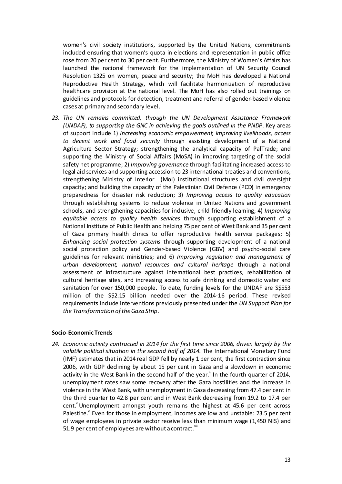women's civil society institutions, supported by the United Nations, commitments included ensuring that women's quota in elections and representation in public office rose from 20 per cent to 30 per cent. Furthermore, the Ministry of Women's Affairs has launched the national framework for the implementation of UN Security Council Resolution 1325 on women, peace and security; the MoH has developed a National Reproductive Health Strategy, which will facilitate harmonization of reproductive healthcare provision at the national level. The MoH has also rolled out trainings on guidelines and protocols for detection, treatment and referral of gender-based violence cases at primary and secondary level.

*23. The UN remains committed, through the UN Development Assistance Framework (UNDAF), to supporting the GNC in achieving the goals outlined in the PNDP*. Key areas of support include 1) *Increasing economic empowerment, improving livelihoods, access to decent work and food security* through assisting development of a National Agriculture Sector Strategy; strengthening the analytical capacity of PalTrade; and supporting the Ministry of Social Affairs (MoSA) in improving targeting of the social safety net programme; 2) *Improving governance* through facilitating increased access to legal aid services and supporting accession to 23 international treaties and conventions; strengthening Ministry of Interior (MoI) institutional structures and civil oversight capacity; and building the capacity of the Palestinian Civil Defence (PCD) in emergency preparedness for disaster risk reduction; 3) *Improving access to quality education* through establishing systems to reduce violence in United Nations and government schools, and strengthening capacities for inclusive, child-friendly learning; 4) *Improving equitable access to quality health services* through supporting establishment of a National Institute of Public Health and helping 75 per cent of West Bank and 35 per cent of Gaza primary health clinics to offer reproductive health service packages; 5) *Enhancing social protection systems* through supporting development of a national social protection policy and Gender-based Violence (GBV) and psycho-social care guidelines for relevant ministries; and 6) *Improving regulation and management of urban development, natural resources and cultural heritage* through a national assessment of infrastructure against international best practices, rehabilitation of cultural heritage sites, and increasing access to safe drinking and domestic water and sanitation for over 150,000 people. To date, funding levels for the UNDAF are S\$553 million of the S\$2.15 billion needed over the 2014-16 period. These revised requirements include interventions previously presented under the *UN Support Plan for the Transformation oftheGaza Strip*.

## <span id="page-12-0"></span>**Socio-EconomicTrends**

*24. Economic activity contracted in 2014 for the first time since 2006, driven largely by the volatile political situation in the second half of 2014.* The International Monetary Fund (IMF) estimates that in 2014 real GDP fell by nearly 1 per cent, the first contraction since 2006, with GDP declining by about 15 per cent in Gaza and a slowdown in economic activity in the West Bank in the second half of the year.<sup> $iv$ </sup> In the fourth quarter of 2014, unemployment rates saw some recovery after the Gaza hostilities and the increase in violence in the West Bank, with unemployment in Gaza decreasing from 47.4 per cent in the third quarter to 42.8 per cent and in West Bank decreasing from 19.2 to 17.4 per cent.<sup>Y</sup> Unemployment amongst youth remains the highest at 45.6 per cent across Palestine.<sup>vi</sup> Even for those in employment, incomes are low and unstable: 23.5 per cent of wage employees in private sector receive less than minimum wage (1,450 NIS) and 51.9 per cent of employees are without a contract. Vii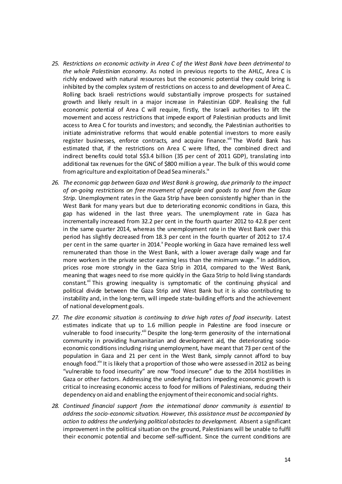- *25. Restrictions on economic activity in Area C of the West Bank have been detrimental to the whole Palestinian economy.* As noted in previous reports to the AHLC, Area C is richly endowed with natural resources but the economic potential they could bring is inhibited by the complex system of restrictions on access to and development of Area C. Rolling back Israeli restrictions would substantially improve prospects for sustained growth and likely result in a major increase in Palestinian GDP. Realising the full economic potential of Area C will require, firstly, the Israeli authorities to lift the movement and access restrictions that impede export of Palestinian products and limit access to Area C for tourists and investors; and secondly, the Palestinian authorities to initiate administrative reforms that would enable potential investors to more easily register businesses, enforce contracts, and acquire finance.<sup>viii</sup> The World Bank has estimated that, if the restrictions on Area C were lifted, the combined direct and indirect benefits could total S\$3.4 billion (35 per cent of 2011 GDP), translating into additional tax revenues for the GNC of \$800 million a year. The bulk of this would come from agriculture and exploitation of Dead Sea minerals.<sup>ix</sup>
- *26. The economic gap between Gaza and West Bank is growing, due primarily to the impact of on-going restrictions on free movement of people and goods to and from the Gaza Strip.* Unemployment rates in the Gaza Strip have been consistently higher than in the West Bank for many years but due to deteriorating economic conditions in Gaza, this gap has widened in the last three years. The unemployment rate in Gaza has incrementally increased from 32.2 per cent in the fourth quarter 2012 to 42.8 per cent in the same quarter 2014, whereas the unemployment rate in the West Bank over this period has slightly decreased from 18.3 per cent in the fourth quarter of 2012 to 17.4 per cent in the same quarter in 2014.<sup>x</sup> People working in Gaza have remained less well remunerated than those in the West Bank, with a lower average daily wage and far more workers in the private sector earning less than the minimum wage.  $x_i$  In addition, prices rose more strongly in the Gaza Strip in 2014, compared to the West Bank, meaning that wages need to rise more quickly in the Gaza Strip to hold living standards constant.<sup>xii</sup> This growing inequality is symptomatic of the continuing physical and political divide between the Gaza Strip and West Bank but it is also contributing to instability and, in the long-term, will impede state-building efforts and the achievement of national development goals.
- *27. The dire economic situation is continuing to drive high rates of food insecurity.* Latest estimates indicate that up to 1.6 million people in Palestine are food insecure or vulnerable to food insecurity.<sup>xiii</sup> Despite the long-term generosity of the international community in providing humanitarian and development aid, the deteriorating socioeconomic conditionsincluding rising unemployment, have meant that 73 per cent of the population in Gaza and 21 per cent in the West Bank, simply cannot afford to buy enough food.<sup>xiv</sup> It is likely that a proportion of those who were assessed in 2012 as being "vulnerable to food insecurity" are now "food insecure" due to the 2014 hostilities in Gaza or other factors. Addressing the underlying factors impeding economic growth is critical to increasing economic access to food for millions of Palestinians, reducing their dependency on aid and enabling the enjoyment of their economic and social rights.
- *28. Continued financial support from the international donor community is essential to address the socio-economic situation. However, this assistance must be accompanied by action to address the underlying political obstacles to development.* Absent a significant improvement in the political situation on the ground, Palestinians will be unable to fulfil their economic potential and become self-sufficient. Since the current conditions are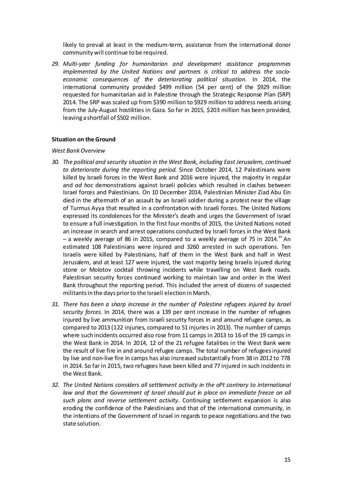likely to prevail at least in the medium-term, assistance from the international donor community will continue to be required.

*29. Multi-year funding for humanitarian and development assistance programmes implemented by the United Nations and partners is critical to address the socioeconomic consequences of the deteriorating political situation.* In 2014, the international community provided \$499 million (54 per cent) of the \$929 million requested for humanitarian aid in Palestine through the Strategic Response Plan (SRP) 2014. The SRP was scaled up from \$390 million to \$929 million to address needs arising from the July-August hostilities in Gaza. So far in 2015, \$203 million has been provided, leaving a shortfall of \$502 million.

## <span id="page-14-0"></span>**Situation on the Ground**

#### *West BankOverview*

- *30. The political and security situation in the West Bank, including East Jerusalem, continued to deteriorate during the reporting period.* Since October 2014, 12 Palestinians were killed by Israeli forces in the West Bank and 2016 were injured, the majority in regular and *ad hoc* demonstrations against Israeli policies which resulted in clashes between Israel forces and Palestinians. On 10 December 2014, Palestinian Minister Ziad Abu Ein died in the aftermath of an assault by an Israeli soldier during a protest near the village of Turmus Ayya that resulted in a confrontation with Israeli forces. The United Nations expressed its condolences for the Minister's death and urges the Government of Israel to ensure a full investigation. In the first four months of 2015, the United Nations noted an increase in search and arrest operations conducted by Israeli forces in the West Bank – a weekly average of 86 in 2015, compared to a weekly average of 75 in 2014.<sup>xv</sup> An estimated 108 Palestinians were injured and 3260 arrested in such operations. Ten Israelis were killed by Palestinians, half of them in the West Bank and half in West Jerusalem, and at least 127 were injured, the vast majority being Israelis injured during stone or Molotov cocktail throwing incidents while travelling on West Bank roads. Palestinian security forces continued working to maintain law and order in the West Bank throughout the reporting period. This included the arrest of dozens of suspected militantsin the days priorto the Israeli election in March.
- *31. There has been a sharp increase in the number of Palestine refugees injured by Israel security forces.* In 2014, there was a 139 per cent increase in the number of refugees injured by live ammunition from Israeli security forces in and around refugee camps, as compared to 2013 (122 injuries, compared to 51 injuries in 2013). The number of camps where such incidents occurred also rose from 11 camps in 2013 to 16 of the 19 camps in the West Bank in 2014. In 2014, 12 of the 21 refugee fatalities in the West Bank were the result of live fire in and around refugee camps. The total number of refugeesinjured by live and non-live fire in camps has also increased substantially from 38 in 2012 to 778 in 2014. So far in 2015, two refugees have been killed and 77 injured in such incidents in the West Bank.
- *32. The United Nations considers all settlement activity in the oPt contrary to international law and that the Government of Israel should put in place an immediate freeze on all such plans and reverse settlement activity.* Continuing settlement expansion is also eroding the confidence of the Palestinians and that of the international community, in the intentions of the Government of Israel in regards to peace negotiations and the two state solution.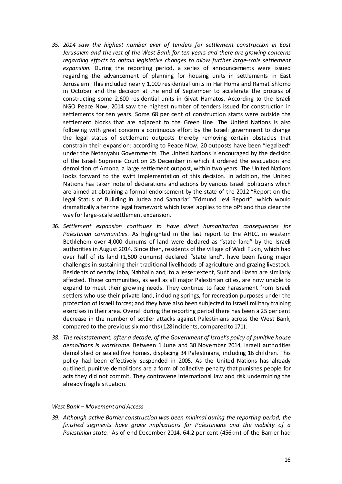- *35. 2014 saw the highest number ever of tenders for settlement construction in East Jerusalem and the rest of the West Bank for ten years and there are growing concerns regarding efforts to obtain legislative changes to allow further large-scale settlement expansion.* During the reporting period, a series of announcements were issued regarding the advancement of planning for housing units in settlements in East Jerusalem. This included nearly 1,000 residential units in Har Homa and Ramat Shlomo in October and the decision at the end of September to accelerate the process of constructing some 2,600 residential units in Givat Hamatos. According to the Israeli NGO Peace Now, 2014 saw the highest number of tenders issued for construction in settlements for ten years. Some 68 per cent of construction starts were outside the settlement blocks that are adjacent to the Green Line. The United Nations is also following with great concern a continuous effort by the Israeli government to change the legal status of settlement outposts thereby removing certain obstacles that constrain their expansion: according to Peace Now, 20 outposts have been "legalized" under the Netanyahu Governments. The United Nations is encouraged by the decision of the Israeli Supreme Court on 25 December in which it ordered the evacuation and demolition of Amona, a large settlement outpost, within two years. The United Nations looks forward to the swift implementation of this decision. In addition, the United Nations has taken note of declarations and actions by various Israeli politicians which are aimed at obtaining a formal endorsement by the state of the 2012 "Report on the legal Status of Building in Judea and Samaria" "Edmund Levi Report", which would dramatically alter the legal framework which Israel applies to the oPt and thus clear the way for large-scale settlement expansion.
- *36. Settlement expansion continues to have direct humanitarian consequences for Palestinian communities*. As highlighted in the last report to the AHLC, in western Bethlehem over 4,000 dunums of land were declared as "state land" by the Israeli authorities in August 2014. Since then, residents of the village of Wadi Fukin, which had over half of its land (1,500 dunums) declared "state land", have been facing major challenges in sustaining their traditional livelihoods of agriculture and grazing livestock. Residents of nearby Jaba, Nahhalin and, to a lesser extent, Surif and Hasan are similarly affected. These communities, as well as all major Palestinian cities, are now unable to expand to meet their growing needs. They continue to face harassment from Israeli settlers who use their private land, induding springs, for recreation purposes under the protection of Israeli forces; and they have also been subjected to Israeli military training exercises in their area. Overall during the reporting period there has been a 25 per cent decrease in the number of settler attacks against Palestinians across the West Bank, compared to the previous six months (128 incidents, compared to 171).
- *38. The reinstatement, after a decade, of the Government of Israel's policy of punitive house demolitions is worrisome*. Between 1 June and 30 November 2014, Israeli authorities demolished or sealed five homes, displacing 34 Palestinians, induding 16 children. This policy had been effectively suspended in 2005. As the United Nations has already outlined, punitive demolitions are a form of collective penalty that punishes people for acts they did not commit. They contravene international law and risk undermining the already fragile situation.

#### *West Bank – Movement and Access*

*39. Although active Barrier construction was been minimal during the reporting period, the finished segments have grave implications for Palestinians and the viability of a Palestinian state.* As of end December 2014, 64.2 per cent (456km) of the Barrier had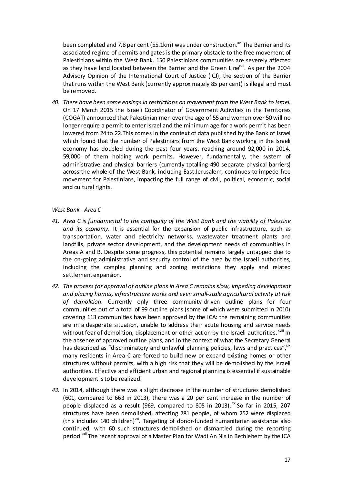been completed and 7.8 per cent (55.1km) was under construction.<sup>xvi</sup> The Barrier and its associated regime of permits and gates is the primary obstacle to the free movement of Palestinians within the West Bank. 150 Palestinians communities are severely affected as they have land located between the Barrier and the Green Line<sup>xvii</sup>. As per the 2004 Advisory Opinion of the International Court of Justice (ICJ), the section of the Barrier that runs within the West Bank (currently approximately 85 per cent) is illegal and must be removed.

*40. There have been some easings in restrictions on movement from the West Bank to Israel.* On 17 March 2015 the Israeli Coordinator of Government Activities in the Territories (COGAT) announced that Palestinian men over the age of 55 and women over 50 will no longer require a permit to enter Israel and the minimum age for a work permit has been lowered from 24 to 22.This comes in the context of data published by the Bank of Israel which found that the number of Palestinians from the West Bank working in the Israeli economy has doubled during the past four years, reaching around 92,000 in 2014, 59,000 of them holding work permits. However, fundamentally, the system of administrative and physical barriers (currently totalling 490 separate physical barriers) across the whole of the West Bank, including East Jerusalem, continues to impede free movement for Palestinians, impacting the full range of civil, political, economic, social and cultural rights.

## *West Bank - Area C*

- *41. Area C is fundamental to the contiguity of the West Bank and the viability of Palestine and its economy.* It is essential for the expansion of public infrastructure, such as transportation, water and electricity networks, wastewater treatment plants and landfills, private sector development, and the development needs of communities in Areas A and B. Despite some progress, this potential remains largely untapped due to the on-going administrative and security control of the area by the Israeli authorities, including the complex planning and zoning restrictions they apply and related settlement expansion.
- *42. The process for approval of outline plans in Area C remains slow, impeding development and placing homes, infrastructure works and even small-scale agricultural activity at risk of demolition.* Currently only three community-driven outline plans for four communities out of a total of 99 outline plans (some of which were submitted in 2010) covering 113 communities have been approved by the ICA: the remaining communities are in a desperate situation, unable to address their acute housing and service needs without fear of demolition, displacement or other action by the Israeli authorities. XVIII In the absence of approved outline plans, and in the context of what the Secretary General has described as "discriminatory and unlawful planning policies, laws and practices", xix many residents in Area C are forced to build new or expand existing homes or other structures without permits, with a high risk that they will be demolished by the Israeli authorities. Effective and efficient urban and regional planning is essential if sustainable developmentisto be realized.
- *43.* In 2014, although there was a slight decrease in the number of structures demolished (601, compared to 663 in 2013), there was a 20 per cent increase in the number of people displaced as a result (969, compared to 805 in 2013).  $x^*$  So far in 2015, 207 structures have been demolished, affecting 781 people, of whom 252 were displaced (this includes 140 children)<sup>xxi</sup>. Targeting of donor-funded humanitarian assistance also continued, with 60 such structures demolished or dismantled during the reporting period.<sup>xxii</sup> The recent approval of a Master Plan for Wadi An Nis in Bethlehem by the ICA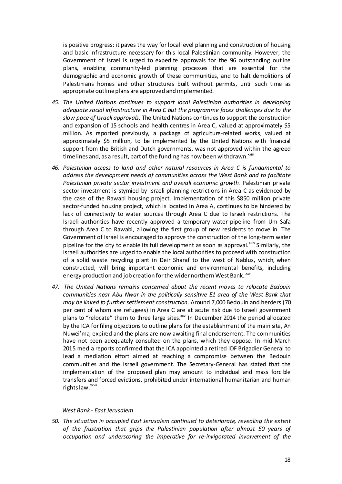is positive progress: it paves the way for local level planning and construction of housing and basic infrastructure necessary for this local Palestinian community. However, the Government of Israel is urged to expedite approvals for the 96 outstanding outline plans, enabling community-led planning processes that are essential for the demographic and economic growth of these communities, and to halt demolitions of Palestinians homes and other structures built without permits, until such time as appropriate outline plans are approved and implemented.

- *45. The United Nations continues to support local Palestinian authorities in developing adequate social infrastructure in Area C but the programme faces challenges due to the slow pace of Israeli approvals.* The United Nations continues to support the construction and expansion of 15 schools and health centres in Area C, valued at approximately \$5 million. As reported previously, a package of agriculture-related works, valued at approximately \$5 million, to be implemented by the United Nations with financial support from the British and Dutch governments, was not approved within the agreed timelines and, as a result, part of the funding has now been withdrawn. $x^{\text{xiii}}$
- *46. Palestinian access to land and other natural resources in Area C is fundamental to address the development needs of communities across the West Bank and to facilitate Palestinian private sector investment and overall economic growth.* Palestinian private sector investment is stymied by Israeli planning restrictions in Area C as evidenced by the case of the Rawabi housing project. Implementation of this \$850 million private sector-funded housing project, which is located in Area A, continues to be hindered by lack of connectivity to water sources through Area C due to Israeli restrictions. The Israeli authorities have recently approved a temporary water pipeline from Um Safa through Area C to Rawabi, allowing the first group of new residents to move in. The Government of Israel is encouraged to approve the construction of the long-term water pipeline for the city to enable its full development as soon as approval.<sup>xxiv</sup> Similarly, the Israeli authorities are urged to enable the local authorities to proceed with construction of a solid waste recycling plant in Deir Sharaf to the west of Nablus, which, when constructed, will bring important economic and environmental benefits, including energy production and job creation for the wider northern West Bank. xxv
- *47. The United Nations remains concerned about the recent moves to relocate Bedouin communities near Abu Nwar in the politically sensitive E1 area of the West Bank that may be linked to further settlement construction.* Around 7,000 Bedouin and herders (70 per cent of whom are refugees) in Area C are at acute risk due to Israeli government plans to "relocate" them to three large sites.<sup>xxvi</sup> In December 2014 the period allocated by the ICA forfiling objections to outline plans for the establishment of the main site, An Nuwei'ma, expired and the plans are now awaiting final endorsement. The communities have not been adequately consulted on the plans, which they oppose. In mid-March 2015 media reports confirmed that the ICA appointed a retired IDF Brigadier General to lead a mediation effort aimed at reaching a compromise between the Bedouin communities and the Israeli government. The Secretary-General has stated that the implementation of the proposed plan may amount to individual and mass forcible transfers and forced evictions, prohibited under international humanitarian and human rights law.<sup>xxvii</sup>

#### *West Bank - East Jerusalem*

*50. The situation in occupied East Jerusalem continued to deteriorate, revealing the extent of the frustration that grips the Palestinian population after almost 50 years of occupation and underscoring the imperative for re-invigorated involvement of the*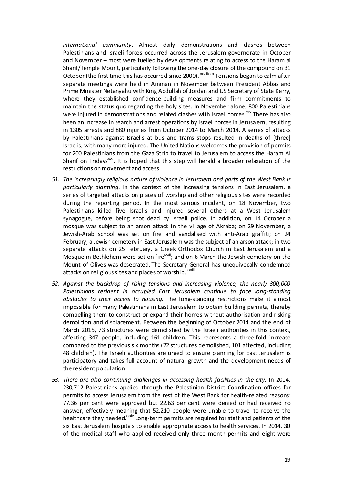*international community*. Almost daily demonstrations and clashes between Palestinians and Israeli forces occurred across the Jerusalem governorate in October and November – most were fuelled by developments relating to access to the Haram al Sharif/Temple Mount, particularly following the one-day closure of the compound on 31 October (the first time this has occurred since 2000). XXVIIIXXIX Tensions began to calm after separate meetings were held in Amman in November between President Abbas and Prime Minister Netanyahu with King Abdullah of Jordan and US Secretary of State Kerry, where they established confidence-building measures and firm commitments to maintain the status quo regarding the holy sites. In November alone, 800 Palestinians were injured in demonstrations and related clashes with Israeli forces.<sup>xxx</sup> There has also been an increase in search and arrest operations by Israeli forces in Jerusalem, resulting in 1305 arrests and 880 injuries from October 2014 to March 2014. A series of attacks by Palestinians against Israelis at bus and trams stops resulted in deaths of [three] Israelis, with many more injured. The United Nations welcomes the provision of permits for 200 Palestinians from the Gaza Strip to travel to Jerusalem to access the Haram Al Sharif on Fridays<sup>xxxi</sup>. It is hoped that this step will herald a broader relaxation of the restrictions onmovement and access.

- *51. The increasingly religious nature of violence in Jerusalem and parts of the West Bank is particularly alarming.* In the context of the increasing tensions in East Jerusalem, a series of targeted attacks on places of worship and other religious sites were recorded during the reporting period. In the most serious incident, on 18 November, two Palestinians killed five Israelis and injured several others at a West Jerusalem synagogue, before being shot dead by Israeli police. In addition, on 14 October a mosque was subject to an arson attack in the village of Akraba; on 29 November, a Jewish-Arab school was set on fire and vandalised with anti-Arab graffiti; on 24 February, a Jewish cemetery in East Jerusalem was the subject of an arson attack; in two separate attacks on 25 February, a Greek Orthodox Church in East Jerusalem and a Mosque in Bethlehem were set on fire<sup>xxxii</sup>; and on 6 March the Jewish cemetery on the Mount of Olives was desecrated. The Secretary-General has unequivocally condemned attacks on religious sites and places of worship. xxxiii
- *52. Against the backdrop of rising tensions and increasing violence, the nearly 300,000 Palestinians resident in occupied East Jerusalem continue to face long-standing obstacles to their access to housing.* The long-standing restrictions make it almost impossible for many Palestinians in East Jerusalem to obtain building permits, thereby compelling them to construct or expand their homes without authorisation and risking demolition and displacement. Between the beginning of October 2014 and the end of March 2015, 73 structures were demolished by the Israeli authorities in this context, affecting 347 people, induding 161 children. This represents a three-fold increase compared to the previous six months (22 structures demolished, 101 affected, including 48 children). The Israeli authorities are urged to ensure planning for East Jerusalem is participatory and takes full account of natural growth and the development needs of the resident population.
- *53. There are also continuing challenges in accessing health facilities in the city.* In 2014, 230,712 Palestinians applied through the Palestinian District Coordination offices for permits to access Jerusalem from the rest of the West Bank for health-related reasons: 77.36 per cent were approved but 22.63 per cent were denied or had received no answer, effectively meaning that 52,210 people were unable to travel to receive the healthcare they needed.<sup>xxxiv</sup> Long-term permits are required for staff and patients of the six East Jerusalem hospitals to enable appropriate access to health services. In 2014, 30 of the medical staff who applied received only three month permits and eight were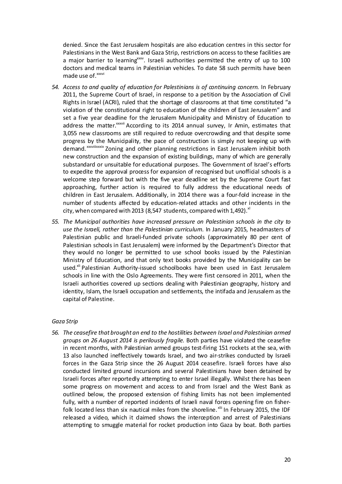denied. Since the East Jerusalem hospitals are also education centres in this sector for Palestinians in the West Bank and Gaza Strip, restrictions on access to these facilities are a major barrier to learning<sup>xxxv</sup>. Israeli authorities permitted the entry of up to 100 doctors and medical teams in Palestinian vehicles. To date 58 such permits have been made use of.<sup>xxxvi</sup>

- *54. Access to and quality of education for Palestinians is of continuing concern.* In February 2011, the Supreme Court of Israel, in response to a petition by the Association of Civil Rights in Israel (ACRI), ruled that the shortage of classrooms at that time constituted "a violation of the constitutional right to education of the children of East Jerusalem" and set a five year deadline for the Jerusalem Municipality and Ministry of Education to address the matter.<sup>xxxvii</sup> According to its 2014 annual survey, Ir Amin, estimates that 3,055 new classrooms are still required to reduce overcrowding and that despite some progress by the Municipality, the pace of construction is simply not keeping up with demand. xxxviiixxxix Zoning and other planning restrictions in East Jerusalem inhibit both new construction and the expansion of existing buildings, many of which are generally substandard or unsuitable for educational purposes. The Government of Israel's efforts to expedite the approval process for expansion of recognised but unofficial schools is a welcome step forward but with the five year deadline set by the Supreme Court fast approaching, further action is required to fully address the educational needs of children in East Jerusalem*.* Additionally, in 2014 there was a four-fold increase in the number of students affected by education-related attacks and other incidents in the city, when compared with 2013 (8,547 students, compared with 1,492). $x^{1}$
- *55. The Municipal authorities have increased pressure on Palestinian schools in the city to use the Israeli, rather than the Palestinian curriculum.* In January 2015, headmasters of Palestinian public and Israeli-funded private schools (approximately 80 per cent of Palestinian schools in East Jerusalem) were informed by the Department's Director that they would no longer be permitted to use school books issued by the Palestinian Ministry of Education, and that only text books provided by the Municipality can be used.<sup>xii</sup> Palestinian Authority-issued schoolbooks have been used in East Jerusalem schools in line with the Oslo Agreements. They were first censored in 2011, when the Israeli authorities covered up sections dealing with Palestinian geography, history and identity, Islam, the Israeli occupation and settlements, the intifada and Jerusalem as the capital of Palestine.

## *Gaza Strip*

*56. The ceasefire that brought an end to the hostilities between Israel and Palestinian armed groups on 26 August 2014 is perilously fragile.* Both parties have violated the ceasefire in recent months, with Palestinian armed groups test-firing 151 rockets at the sea, with 13 also launched ineffectively towards Israel, and two air-strikes conducted by Israeli forces in the Gaza Strip since the 26 August 2014 ceasefire. Israeli forces have also conducted limited ground incursions and several Palestinians have been detained by Israeli forces after reportedly attempting to enter Israel illegally. Whilst there has been some progress on movement and access to and from Israel and the West Bank as outlined below, the proposed extension of fishing limits has not been implemented fully, with a number of reported incidents of Israeli naval forces opening fire on fisherfolk located less than six nautical miles from the shoreline.<sup>xlii</sup> In February 2015, the IDF released a video, which it daimed shows the interception and arrest of Palestinians attempting to smuggle material for rocket production into Gaza by boat. Both parties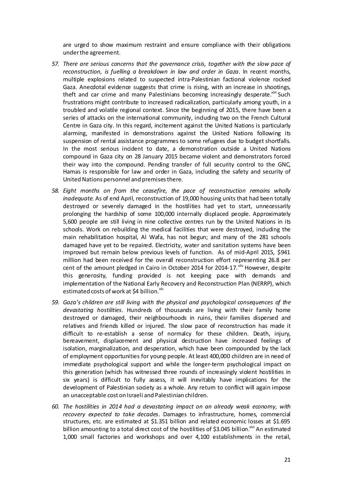are urged to show maximum restraint and ensure compliance with their obligations underthe agreement.

- *57. There are serious concerns that the governance crisis, together with the slow pace of reconstruction, is fuelling a breakdown in law and order in Gaza*. In recent months, multiple explosions related to suspected intra-Palestinian factional violence rocked Gaza. Anecdotal evidence suggests that crime is rising, with an increase in shootings, theft and car crime and many Palestinians becoming increasingly desperate.<sup>xliii</sup> Such frustrations might contribute to increased radicalization, particularly among youth, in a troubled and volatile regional context. Since the beginning of 2015, there have been a series of attacks on the international community, including two on the French Cultural Centre in Gaza city. In this regard, incitement against the United Nations is particularly alarming, manifested in demonstrations against the United Nations following its suspension of rental assistance programmes to some refugees due to budget shortfalls. In the most serious incident to date, a demonstration outside a United Nations compound in Gaza city on 28 January 2015 became violent and demonstrators forced their way into the compound. Pending transfer of full security control to the GNC, Hamas is responsible for law and order in Gaza, including the safety and security of United Nations personnel and premises there.
- *58. Eight months on from the ceasefire, the pace of reconstruction remains wholly inadequate*. As of end April, reconstruction of 19,000 housing units that had been totally destroyed or severely damaged in the hostilities had yet to start, unnecessarily prolonging the hardship of some 100,000 internally displaced people. Approximately 5,600 people are still living in nine collective centres run by the United Nations in its schools. Work on rebuilding the medical facilities that were destroyed, induding the main rehabilitation hospital, Al Wafa, has not begun; and many of the 281 schools damaged have yet to be repaired. Electricity, water and sanitation systems have been improved but remain below previous levels of function. As of mid-April 2015, \$941 million had been received for the overall reconstruction effort representing 26.8 per cent of the amount pledged in Cairo in October 2014 for 2014-17. $\frac{x}{y}$  However, despite this generosity, funding provided is not keeping pace with demands and implementation of the National Early Recovery and Reconstruction Plan (NERRP), which estimated costs of work at \$4 billion.<sup>xlv</sup>
- *59. Gaza's children are still living with the physical and psychological consequences of the devastating hostilities*. Hundreds of thousands are living with their family home destroyed or damaged, their neighbourhoods in ruins, their families dispersed and relatives and friends killed or injured. The slow pace of reconstruction has made it difficult to re-establish a sense of normalcy for these children. Death, injury, bereavement, displacement and physical destruction have increased feelings of isolation, marginalization, and desperation, which have been compounded by the lack of employment opportunities for young people. At least 400,000 children are in need of immediate psychological support and while the longer-term psychological impact on this generation (which has witnessed three rounds of increasingly violent hostilities in six years) is difficult to fully assess, it will inevitably have implications for the development of Palestinian society as a whole. Any return to conflict will again impose an unacceptable cost on Israeli and Palestinian children.
- *60. The hostilities in 2014 had a devastating impact on an already weak economy*, *with recovery expected to take decades*. Damages to infrastructure, homes, commercial structures, etc. are estimated at \$1.351 billion and related economic losses at \$1.695 billion amounting to a total direct cost of the hostilities of \$3.045 billion.<sup>xlvi</sup> An estimated 1,000 small factories and workshops and over 4,100 establishments in the retail,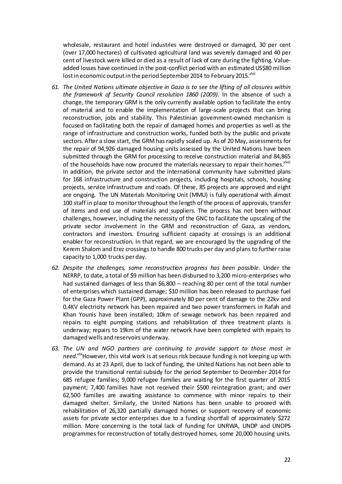wholesale, restaurant and hotel industries were destroyed or damaged, 30 per cent (over 17,000 hectares) of cultivated agricultural land was severely damaged and 40 per cent of livestock were killed or died as a result of lack of care during the fighting. Valueadded losses have continued in the post-conflict period with an estimated US\$80 million lost in economic output in the period September 2014 to February 2015. XIVII

- *61. The United Nations ultimate objective in Gaza is to see the lifting of all closures within the framework of Security Council resolution 1860 (2009).* In the absence of such a change, the temporary GRM is the only currently available option to facilitate the entry of material and to enable the implementation of large-scale projects that can bring reconstruction, jobs and stability. This Palestinian government-owned mechanism is focused on facilitating both the repair of damaged homes and properties as well as the range of infrastructure and construction works, funded both by the public and private sectors. After a slow start, the GRM has rapidly scaled up. As of 20 May, assessments for the repair of 94,926 damaged housing units assessed by the United Nations have been submitted through the GRM for processing to receive construction material and 84,865 of the households have now procured the materials necessary to repair their homes. XIViii In addition, the private sector and the international community have submitted plans for 168 infrastructure and construction projects, including hospitals, schools, housing projects, service infrastructure and roads. Of these, 85 projects are approved and eight are ongoing. The UN Materials Monitoring Unit (MMU) is fully operational with almost 100 staff in place to monitor throughout the length of the process of approvals, transfer of items and end use of materials and suppliers. The process has not been without challenges, however, including the necessity of the GNC to facilitate the upscaling of the private sector involvement in the GRM and reconstruction of Gaza, as vendors, contractors and investors. Ensuring sufficient capacity at crossings is an additional enabler for reconstruction. In that regard, we are encouraged by the upgrading of the Kerem Shalom and Erez crossings to handle 800 trucks per day and plans to further raise capacity to 1,000 trucks perday.
- *62. Despite the challenges, some reconstruction progress has been possible*. Under the NERRP, to date, a total of \$9 million has been disbursed to 3,200 micro-enterprises who had sustained damages of less than \$6,800 – reaching 80 per cent of the total number of enterprises which sustained damage; \$10 million has been released to purchase fuel for the Gaza Power Plant (GPP), approximately 80 per cent of damage to the 22kv and 0.4KV electricity network has been repaired and two power transformers in Rafah and Khan Younis have been installed; 10km of sewage network has been repaired and repairs to eight pumping stations and rehabilitation of three treatment plants is underway; repairs to 19km of the water network have been completed with repairs to damaged wells and reservoirs underway.
- *63. The UN and NGO partners are continuing to provide support to those most in need.xlix*However, this vital work is at serious risk because funding is not keeping up with demand. As at 23 April, due to lack of funding, the United Nations has not been able to provide the transitional rental subsidy for the period September to December 2014 for 685 refugee families; 9,000 refugee families are waiting for the first quarter of 2015 payment; 7,400 families have not received their \$500 reintegration grant; and over 62,500 families are awaiting assistance to commence with minor repairs to their damaged shelter. Similarly, the United Nations has been unable to proceed with rehabilitation of 26,320 partially damaged homes or support recovery of economic assets for private sector enterprises due to a funding shortfall of approximately \$272 million. More concerning is the total lack of funding for UNRWA, UNDP and UNOPS programmes for reconstruction of totally destroyed homes, some 20,000 housing units.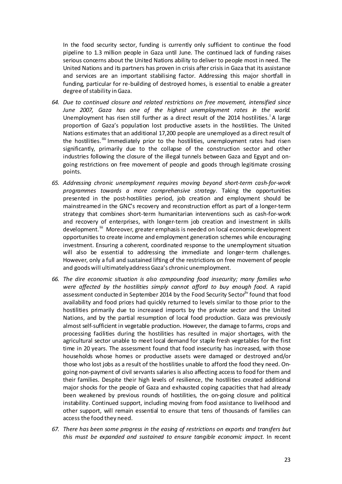In the food security sector, funding is currently only sufficient to continue the food pipeline to 1.3 million people in Gaza until June. The continued lack of funding raises serious concerns about the United Nations ability to deliver to people most in need. The United Nations and its partners has proven in crisis after crisis in Gaza that its assistance and services are an important stabilising factor. Addressing this major shortfall in funding, particular for re-building of destroyed homes, is essential to enable a greater degree of stability in Gaza.

- *64. Due to continued closure and related restrictions on free movement, intensified since June 2007, Gaza has one of the highest unemployment rates in the world.* Unemployment has risen still further as a direct result of the 2014 hostilities.<sup>1</sup>A large proportion of Gaza's population lost productive assets in the hostilities. The United Nations estimates that an additional 17,200 people are unemployed as a direct result of the hostilities.<sup>IIII</sup> Immediately prior to the hostilities, unemployment rates had risen significantly, primarily due to the collapse of the construction sector and other industries following the closure of the illegal tunnels between Gaza and Egypt and ongoing restrictions on free movement of people and goods through legitimate crossing points.
- *65. Addressing chronic unemployment requires moving beyond short-term cash-for-work programmes towards a more comprehensive strategy*. Taking the opportunities presented in the post-hostilities period, job creation and employment should be mainstreamed in the GNC's recovery and reconstruction effort as part of a longer-term strategy that combines short-term humanitarian interventions such as cash-for-work and recovery of enterprises, with longer-term job creation and investment in skills development. <sup>iii</sup> Moreover, greater emphasis is needed on local economic development opportunities to create income and employment generation schemes while encouraging investment. Ensuring a coherent, coordinated response to the unemployment situation will also be essential to addressing the immediate and longer-term challenges. However, only a full and sustained lifting of the restrictions on free movement of people and goods will ultimatelyaddressGaza's chronicunemployment.
- *66. The dire economic situation is also compounding food insecurity; many families who were affected by the hostilities simply cannot afford to buy enough food.* A rapid assessment conducted in September 2014 by the Food Security Sectorliv found that food availability and food prices had quickly returned to levels similar to those prior to the hostilities primarily due to increased imports by the private sector and the United Nations, and by the partial resumption of local food production. Gaza was previously almost self-sufficient in vegetable production. However, the damage to farms, crops and processing facilities during the hostilities has resulted in major shortages, with the agricultural sector unable to meet local demand for staple fresh vegetables for the first time in 20 years. The assessment found that food insecurity has increased, with those households whose homes or productive assets were damaged or destroyed and/or those who lost jobs as a result of the hostilities unable to afford the food they need. Ongoing non-payment of civil servants salaries is also affecting access to food for them and their families. Despite their high levels of resilience, the hostilities created additional major shocks for the people of Gaza and exhausted coping capacities that had already been weakened by previous rounds of hostilities, the on-going closure and political instability. Continued support, including moving from food assistance to livelihood and other support, will remain essential to ensure that tens of thousands of families can access the food they need.
- *67. There has been some progress in the easing of restrictions on exports and transfers but this must be expanded and sustained to ensure tangible economic impact.* In recent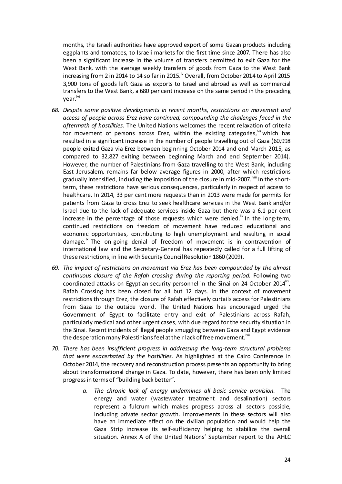months, the Israeli authorities have approved export of some Gazan products including eggplants and tomatoes, to Israeli markets for the first time since 2007. There has also been a significant increase in the volume of transfers permitted to exit Gaza for the West Bank, with the average weekly transfers of goods from Gaza to the West Bank increasing from 2 in 2014 to 14 so far in 2015.  $\frac{1}{2}$  Overall, from October 2014 to April 2015 3,900 tons of goods left Gaza as exports to Israel and abroad as well as commercial transfers to the West Bank, a 680 per cent increase on the same period in the preceding year.<sup>lvi</sup>

- *68. Despite some positive developments in recent months, restrictions on movement and access of people across Erez have continued, compounding the challenges faced in the aftermath of hostilities.* The United Nations welcomes the recent relaxation of criteria for movement of persons across Erez, within the existing categories,  $\frac{1}{10}$  which has resulted in a significant increase in the number of people travelling out of Gaza (60,998 people exited Gaza via Erez between beginning October 2014 and end March 2015, as compared to 32,827 exiting between beginning March and end September 2014). However, the number of Palestinians from Gaza travelling to the West Bank, including East Jerusalem, remains far below average figures in 2000, after which restrictions gradually intensified, induding the imposition of the closure in mid-2007.<sup>Iviii</sup> In the shortterm, these restrictions have serious consequences, particularly in respect of access to healthcare. In 2014, 33 per cent more requests than in 2013 were made for permits for patients from Gaza to cross Erez to seek healthcare services in the West Bank and/or Israel due to the lack of adequate services inside Gaza but there was a 6.1 per cent increase in the percentage of those requests which were denied.<sup>IN</sup> In the long-term, continued restrictions on freedom of movement have reduced educational and economic opportunities, contributing to high unemployment and resulting in social damage. $\mu$ <sup>x</sup> The on-going denial of freedom of movement is in contravention of international law and the Secretary-General has repeatedly called for a full lifting of these restrictions,in line with Security CouncilResolution 1860 (2009).
- *69. The impact of restrictions on movement via Erez has been compounded by the almost continuous closure of the Rafah crossing during the reporting period.* Following two coordinated attacks on Egyptian security personnel in the Sinai on 24 October 2014 $^{\text{txi}}$ , Rafah Crossing has been closed for all but 12 days. In the context of movement restrictions through Erez, the closure of Rafah effectively curtails access for Palestinians from Gaza to the outside world. The United Nations has encouraged urged the Government of Egypt to facilitate entry and exit of Palestinians across Rafah, particularly medical and other urgent cases, with due regard for the security situation in the Sinai. Recent incidents of illegal people smuggling between Gaza and Egypt evidence the desperation many Palestinians feel at their lack of free movement.<sup>Ixii</sup>
- *70. There has been insufficient progress in addressing the long-term structural problems that were exacerbated by the hostilities.* As highlighted at the Cairo Conference in October 2014, the recovery and reconstruction process presents an opportunity to bring about transformational change in Gaza. To date, however, there has been only limited progressin terms of "building back better".
	- *a. The chronic lack of energy undermines all basic service provision.* The energy and water (wastewater treatment and desalination) sectors represent a fulcrum which makes progress across all sectors possible, including private sector growth. Improvements in these sectors will also have an immediate effect on the civilian population and would help the Gaza Strip increase its self-sufficiency helping to stabilize the overall situation. Annex A of the United Nations' September report to the AHLC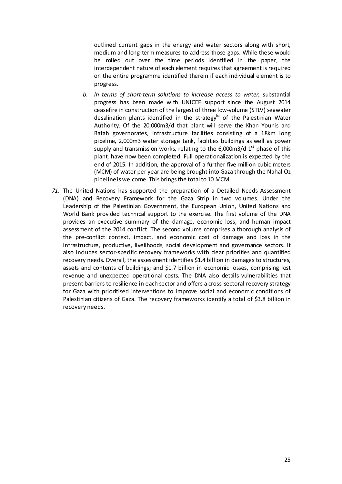outlined current gaps in the energy and water sectors along with short, medium and long-term measures to address those gaps. While these would be rolled out over the time periods identified in the paper, the interdependent nature of each element requires that agreement is required on the entire programme identified therein if each individual element is to progress.

- *b. In terms of short-term solutions to increase access to water,* substantial progress has been made with UNICEF support since the August 2014 ceasefire in construction of the largest of three low-volume (STLV) seawater desalination plants identified in the strategy  $\frac{1}{x}$  of the Palestinian Water Authority. Of the 20,000m3/d that plant will serve the Khan Younis and Rafah governorates, infrastructure facilities consisting of a 18km long pipeline, 2,000m3 water storage tank, facilities buildings as well as power supply and transmission works, relating to the 6,000m3/d  $1<sup>st</sup>$  phase of this plant, have now been completed. Full operationalization is expected by the end of 2015. In addition, the approval of a further five million cubic meters (MCM) of water per year are being brought into Gaza through the Nahal Oz pipeline is welcome. This brings the total to 10 MCM.
- *71.* The United Nations has supported the preparation of a Detailed Needs Assessment (DNA) and Recovery Framework for the Gaza Strip in two volumes. Under the Leadership of the Palestinian Government, the European Union, United Nations and World Bank provided technical support to the exercise. The first volume of the DNA provides an executive summary of the damage, economic loss, and human impact assessment of the 2014 conflict. The second volume comprises a thorough analysis of the pre-conflict context, impact, and economic cost of damage and loss in the infrastructure, productive, livelihoods, social development and governance sectors. It also indudes sector-specific recovery frameworks with clear priorities and quantified recovery needs. Overall, the assessment identifies \$1.4 billion in damages to structures, assets and contents of buildings; and \$1.7 billion in economic losses, comprising lost revenue and unexpected operational costs. The DNA also details vulnerabilities that present barriers to resilience in each sector and offers a cross-sectoral recovery strategy for Gaza with prioritised interventions to improve social and economic conditions of Palestinian citizens of Gaza. The recovery frameworks identify a total of \$3.8 billion in recovery needs.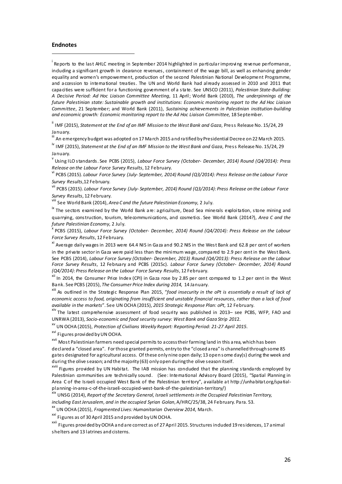#### <span id="page-25-0"></span>**Endnotes**

 $\overline{a}$ 

<sup>i</sup> Reports to the last AHLC meeting in September 2014 highlighted in particular improving revenue performance, induding a significant growth in dearance revenues, containment of the wage bill, as well as enhancing gender equality and women's empowerment, production of the second Palestinian National Development Programme, and accession to international treaties. The UN and World Bank had already assessed in 2010 and 2011 that capacities were sufficient for a functioning government of a state. See UNSCO (2011), *Palestinian State-Building: A Decisive Period: Ad Hoc Liaison Committee Meeting*, 11 April; World Bank (2010), *The underpinnings of the future Palestinian state: Sustainable growth and institutions: Economic monitoring report to the Ad Hoc Liaison Committee*, 21 September; and World Bank (2011), *Sustaining achievements in Palestinian institution-building and economic growth: Economic monitoring report to the Ad Hoc Liaison Committee,* 18 September.

ii IMF (2015), *Statement at the End of an IMF Mission to the West Bank and Gaza*, Press Release No. 15/24, 29 January.

III An emergency budget was adopted on 17 March 2015 and ratified by Presidential Decree on 22 March 2015.

iv IMF (2015), *Statement at the End of an IMF Mission to the West Bank and Gaza*, Press Release No. 15/24, 29 January.

v Using ILO standards. See PCBS (2015), *Labour Force Survey (October- December, 2014) Round (Q4/2014): Press Release on the Labour Force Survey Results*, 12 February.

vi PCBS (2015). *Labour Force Survey (July- September, 2014) Round (Q3/2014): Press Release on the Labour Force Survey Results*,12 February.

vii PCBS (2015). *Labour Force Survey (July- September, 2014) Round (Q3/2014): Press Release on the Labour Force Survey Results*, 12 February.

viii See World Bank (2014), *Area C and the future Palestinian Economy*, 2 July.

<sup>ix</sup> The sectors examined by the World Bank are: agriculture, Dead Sea minerals exploitation, stone mining and quarrying, construction, tourism, telecommunications, and cosmetics. See World Bank (2014?), *Area C and the future Palestinian Economy*, 2 July.

x PCBS (2015), *Labour Force Survey (October- December, 2014) Round (Q4/2014): Press Release on the Labour Force Survey Results*, 12 February.

xi Average dailywages in 2013 were 64.4 NIS in Gaza and 90.2 NIS in the West Bank and 62.8 per cent of workers in the private sectorin Gaza were paid less than the minimum wage, compared to 2.9 per cent in the West Bank. See PCBS (2014), *Labour Force Survey (October- December, 2013) Round (Q4/2013): Press Release on the Labour Force Survey Results*, 12 February and PCBS (2015c). *Labour Force Survey (October- December, 2014) Round (Q4/2014): Press Release on the Labour Force Survey Results*, 12 February.

In 2014, the Consumer Price Index (CPI) in Gaza rose by 2.85 per cent compared to 1.2 per cent in the West Bank. See PCBS (2015), *The Consumer Price Index during 2014,* 14 January.

xiii As outlined in the Strategic Response Plan 2015, "*food insecurity in the oPt is essentially a result of lack of* economic access to food, originating from insufficient and unstable financial resources, rather than a lack of food *available in the markets*". See UN OCHA (2015), *2015 Strategic Response Plan: oPt*, 12 February.

xiv The latest comprehensive assessment of food security was published in 2013– see PCBS, WFP, FAO and UNRWA (2013), *Socio-economic and food security survey: West Bank and Gaza Strip 201*2.

xv UN OCHA (2015), *Protection of Civilians Weekly Report: Reporting Period: 21-27 April 2015*.

<sup>xvi</sup> Figures provided by UN OCHA.

<sup>xvii</sup> Most Palestinian farmers need special permits to access their farming land in this area, which has been declared a "closed area". Forthose granted permits, entry to the "closed a rea" is channelled through some 85 gates designated for agricultural access. Of these only nine open daily; 13 open some day(s) during the week and during the olive season; and the majority (63) only open during the olive season itself.

<sup>xviii</sup> Figures provided by UN Habitat. The IAB mission has conduded that the planning standards employed by Palestinian communities are technically sound. (See: International Advisory Board (2015), "Spa tial Planning in Area C of the Israeli occupied West Bank of the Palestinian territory", available at http://unhabitat.org/spatialplanning-in-area-c-of-the-israeli-occupied-west-bank-of-the-palestinian-territory/)

xix UNSG (2014), *Report of the Secretary General, Israelisettlements in the Occupied Palestinian Territory, including East Jerusalem, and in the occupied Syrian Golan*, A/HRC/25/38, 24 February. Para. 53.

xx UN OCHA (2015), *Fragmented Lives:Humanitarian Overview 2014*, March.

<sup>xxi</sup> Figures as of 30 April 2015 and provided by UN OCHA.

<sup>xxii</sup> Figures provided by OCHA and are correct as of 27 April 2015. Structures induded 19 residences, 17 animal shelters and 13 latrines and cisterns.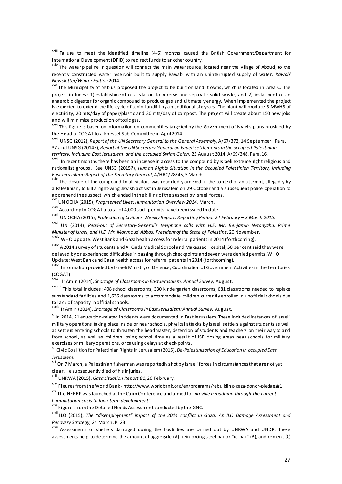xxiii Failure to meet the identified timeline (4-6) months caused the British Government/Department for InternationalDevelopment (DFID) to redirect funds to another country.

<sup>xxiv</sup> The water pipeline in question will connect the main water source, located near the village of Aboud, to the recently constructed water reservoir built to supply Rawabi with an uninterrupted supply of water. *Rawabi Newsletter/Winter Edition* 2014.

<sup>xxv</sup> The Municipality of Nablus proposed the project to be built on land it owns, which is located in Area C. The project indudes: 1) establishment of a station to receive and separate solid waste; and 2) instalment of an anaerobic digester for organic compound to produce gas and ultimately energy. When implemented the project is expected to extend the life cycle of Jenin Landfill by an additional six years. The plant will produce 3 MWH3 of electricity, 20 mts/day of paper/plastic and 30 mts/day of compost. The project will create about 150 new jobs and will minimize production oftoxic gas.

xxvi This figure is based on information on communities targeted by the Government of Israel's plans provided by the Head ofCOGAT to a Knesset Sub-Committee in April2014.

xxvii UNSG (2012), *Report of the UN Secretary General to the General Assembly*, A/67/372, 14 September. Para. 37 and UNSG (2014?), *Report of the UN Secretary General on Israelisettlements in the occupied Palestinian territory, including East Jerusalem, and the occupied Syrian Golan*, 25 August 2014, A/69/348. Para.16.

xxviii In recent months there has been an increase in access to the compound by Israeli extreme right religious and nationalist groups. See UNSG (2015?), *Human Rights Situation in the Occupied Palestinian Territory, including EastJerusalem: Report of the Secretary General*, A/HRC/28/45, 5 March.

<sup>xxix</sup> The dosure of the compound to all visitors was reportedly ordered in the context of an attempt, allegedly by a Palestinian, to kill a right-wing Jewish activist in Jerusalem on 29 October and a subsequent police operation to apprehend the suspect, which ended in the killing ofthe suspect by Israeliforces.

xxx UN OCHA (2015), *Fragmented Lives:Humanitarian Overview 2014*, March.

 $\overline{a}$ 

xxxi According to COGAT a total of 4,000 such permits have been issued to date.

xxxii UN OCHA (2015), *Protection of Civilians Weekly Report: Reporting Period: 24 February – 2 March 2015*.

xxxiii UN (2014), *Read-out of Secretary-General's telephone calls with H.E. Mr. Benjamin Netanyahu, Prime Minister of Israel, and H.E. Mr. Mahmoud Abbas, President of the State of Palestine*, 20 November.

xxxiv WHO Update: West Bank and Gaza health access forreferral patients in 2014 (forthcoming).

xxxv A 2014 survey of students and Al Quds Medical School and Makassed Hospital, 50 per cent said they were delayed by or experienced difficultiesin passing through checkpoints and seven were denied permits. WHO Update: West Bank andGaza health access forreferral patients in 2014 (forthcoming).

xxxvi Information provided by Israeli Ministry of Defence, Coordination of Government Activitiesin the Territories (COGAT)

xxxvii Ir Amin (2014), *Shortage of Classrooms in East Jerusalem: Annual Survey*, August.

xxxviii This total indudes: 408 school dassrooms, 330 kindergarten dassrooms, 681 classrooms needed to replace substandard facilities and 1,636 dassrooms to accommodate children currently enrolled in unofficial schools due to lack of capacity in official schools.

xxxix Ir Amin (2014), *Shortage of Classrooms in East Jerusalem: Annual Survey*, August.

<sup>xl</sup> In 2014, 21 education-related incidents were documented in East Jerusalem. These induded instances of Israeli military operations taking place inside or nearschools, physical attacks by Israelisettlers againststudents as well as settlers entering schools to threaten the headmaster, detention of students and teachers on their way to and from school, as well as children losing school time as a result of ISF dosing areas near schools for military exercises ormilitary operations, or causing delays at check-points.

xli Civic Coalition for Palestinian Rights in Jerusalem(2015), *De-Palestinization of Education in occupied East Jerusalem.*

xlii On 7 March, a Palestinian fisherman was reportedly shot by Israeli forces in circumstancesthat are not yet clear. He subsequently died of his injuries.

xliii UNRWA (2015), *Gaza Situation Report 81*, 26 February.

xliv Figures fromthe World Bank - http://www.worldbank.org/en/programs/rebuilding-gaza-donor-pledges#1

xlv The NERRP was launched atthe Cairo Conference and aimed to "*provide a roadmap through the current humanitarian crisis to long-term development"*.

<sup>xlvi</sup> Figures from the Detailed Needs Assessment conducted by the GNC.

xlvii ILO (2015), *The "disemployment" impact of the 2014 conflict in Gaza: An ILO Damage Assessment and Recovery Strategy*, 24 March, P. 23.

xlviii Assessments of shelters damaged during the hostilities are carried out by UNRWA and UNDP. These assessments help to determine the amount of aggregate (A), reinforcing steel bar or "re-bar" (B), and cement (C)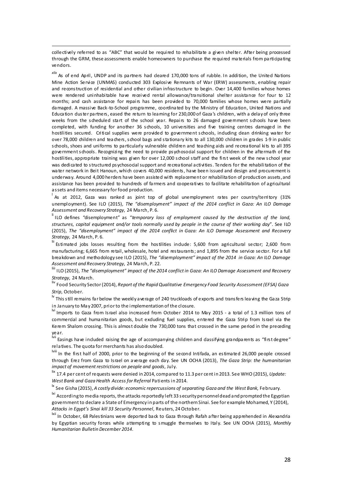collectively referred to as "ABC" that would be required to rehabilitate a given shelter. After being processed through the GRM, these assessments enable homeowners to purchase the required materials from participating vendors.

 $\overline{a}$ 

*xlix* As of end April, UNDP and its partners had cleared 170,000 tons of rubble. In addition, the United Nations Mine Action Service (UNMAS) conducted 303 Explosive Remnants of War (ERW) assessments, enabling repair and reconstruction of residential and other civilian infrastructure to begin. Over 14,400 families whose homes were rendered uninhabitable have received rental allowance/transitional shelter assistance for four to 12 months; and cash assistance for repairs has been provided to 70,000 families whose homes were partially damaged. A massive Back-to-School programme, coordinated by the Ministry of Education, United Nations and Education duster partners, eased the return to learning for 230,000 of Gaza's children, with a delay of only three weeks from the scheduled start of the school year. Repairs to 26 damaged government schools have been completed, with funding for another 36 schools, 10 universities and five training centres damaged in the hostilities secured. Critical supplies were provided to government schools, induding dean drinking water for over 78,000 children and teachers,school bags and stationary kits to all 130,000 children in grades 1-9 in public schools, shoes and uniforms to particularly vulnerable children and teaching aids and recreational kits to all 395 governmentschools. Recognizing the need to provide psychosocial support for children in the aftermath of the hostilities, appropriate training was given for over 12,000 school staff and the first week of the new school year was dedicated to structured psychosocial support and recreational activities. Tenders for the rehabilitation of the water network in Beit Hanoun, which covers 40,000 residents, have been issued and design and procurement is underway. Around 4,000 herders have been assisted with replacement or rehabilitation of production assets,and assistance has been provided to hundreds of farmers and cooperatives to facilitate rehabilitation of agricultural assets and items necessary forfood production.

l As at 2012, Gaza was ranked as joint top of global unemployment rates per country/territory (31% unemployment). See ILO (2015), *The "disemployment" impact of the 2014 conflict in Gaza: An ILO Damage Assessment and Recovery Strategy*, 24 March, P. 6.

li ILO defines "disemployment" as "*temporary loss of employment caused by the destruction of the land, structures, capital equipment and/or tools normally used by people in the course of their working day*". See ILO (2015), *The "disemployment" impact of the 2014 conflict in Gaza: An ILO Damage Assessment and Recovery Strategy*, 24 March, P. 6.

lii Estimated jobs losses resulting from the hostilities include: 5,600 from agricultural sector; 2,600 from manufacturing; 6,665 from retail, wholesale, hotel and restaurants; and 1,895 from the service sector. For a full breakdown and methodology see ILO (2015), *The "disemployment" impact of the 2014 in Gaza: An ILO Damage Assessment and Recovery Strategy*, 24 March, P. 22.

liii ILO (2015), *The "disemployment" impact of the 2014 conflict in Gaza: An ILO Damage Assessment and Recovery Strategy*, 24 March.

liv Food Security Sector(2014), *Report of the RapidQualitative Emergency Food Security Assessment (EFSA) Gaza Strip*, October.

<sup>lv</sup> This still remains far below the weekly average of 240 truckloads of exports and transfers leaving the Gaza Strip in January to May 2007, priorto the implementation of the closure.

lvi Imports to Gaza from Israel also increased from October 2014 to May 2015 - a total of 1.3 million tons of commercial and humanitarian goods, but exduding fuel supplies, entered the Gaza Strip from Israel via the Kerem Shalom crossing. This is almost double the 730,000 tons that crossed in the same period in the preceding year.

<sup>lvii</sup> Easings ha*v*e induded raising the age of accompanying children and dassifying grandparents as "first degree" relatives. The quota formerchants has also doubled.

lviii In the first half of 2000, prior to the beginning of the second Intifada, an estimated 26,000 people crossed through Erez from Gaza to Israel on average each day. See UN OCHA (2013), *The Gaza Strip: the humanitarian impact* of *movement restrictions* on *people* and *goods*, July.

lix 17.4 per cent of requests were denied in 2014, compared to 11.3 per cent in 2013. See WHO (2015), *Update: West Bank and Gaza Health Access for Referral* Patients in 2014.

lx See Gisha (2015), *A costly divide: economic repercussions of separating Gaza and the West Bank*, February.

lxi According to media reports, the attacks reportedly left 33 security personneldead and prompted the Egyptian government to declare a State of Emergency in parts of the northern Sinai. See for example Mohamed, Y (2014), *Attacks in Egypt's Sinai kill 33 Security Personnel*, Reuters, 24October.

lxii In October, 68 Palestinians were deported back to Gaza through Rafah after being apprehended in Alexandria by Egyptian security forces while attempting to smuggle themselves to Italy. See UN OCHA (2015), *Monthly Humanitarian Bulletin December 2014*.